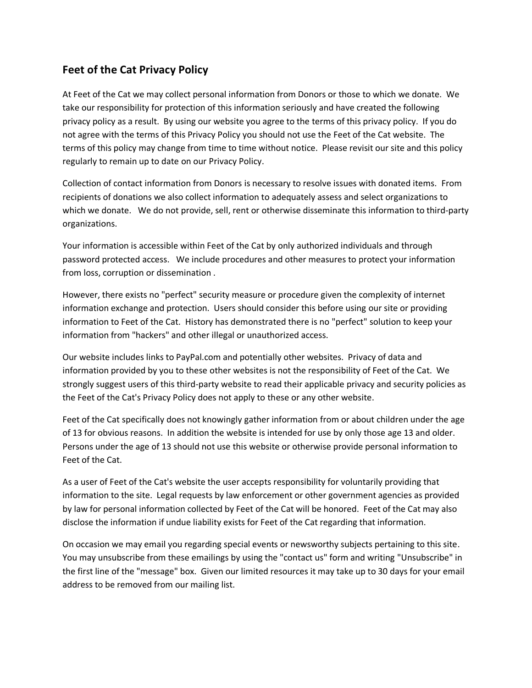## **Feet of the Cat Privacy Policy**

At Feet of the Cat we may collect personal information from Donors or those to which we donate. We take our responsibility for protection of this information seriously and have created the following privacy policy as a result. By using our website you agree to the terms of this privacy policy. If you do not agree with the terms of this Privacy Policy you should not use the Feet of the Cat website. The terms of this policy may change from time to time without notice. Please revisit our site and this policy regularly to remain up to date on our Privacy Policy.

Collection of contact information from Donors is necessary to resolve issues with donated items. From recipients of donations we also collect information to adequately assess and select organizations to which we donate. We do not provide, sell, rent or otherwise disseminate this information to third-party organizations.

Your information is accessible within Feet of the Cat by only authorized individuals and through password protected access. We include procedures and other measures to protect your information from loss, corruption or dissemination .

However, there exists no "perfect" security measure or procedure given the complexity of internet information exchange and protection. Users should consider this before using our site or providing information to Feet of the Cat. History has demonstrated there is no "perfect" solution to keep your information from "hackers" and other illegal or unauthorized access.

Our website includes links to PayPal.com and potentially other websites. Privacy of data and information provided by you to these other websites is not the responsibility of Feet of the Cat. We strongly suggest users of this third-party website to read their applicable privacy and security policies as the Feet of the Cat's Privacy Policy does not apply to these or any other website.

Feet of the Cat specifically does not knowingly gather information from or about children under the age of 13 for obvious reasons. In addition the website is intended for use by only those age 13 and older. Persons under the age of 13 should not use this website or otherwise provide personal information to Feet of the Cat.

As a user of Feet of the Cat's website the user accepts responsibility for voluntarily providing that information to the site. Legal requests by law enforcement or other government agencies as provided by law for personal information collected by Feet of the Cat will be honored. Feet of the Cat may also disclose the information if undue liability exists for Feet of the Cat regarding that information.

On occasion we may email you regarding special events or newsworthy subjects pertaining to this site. You may unsubscribe from these emailings by using the "contact us" form and writing "Unsubscribe" in the first line of the "message" box. Given our limited resources it may take up to 30 days for your email address to be removed from our mailing list.